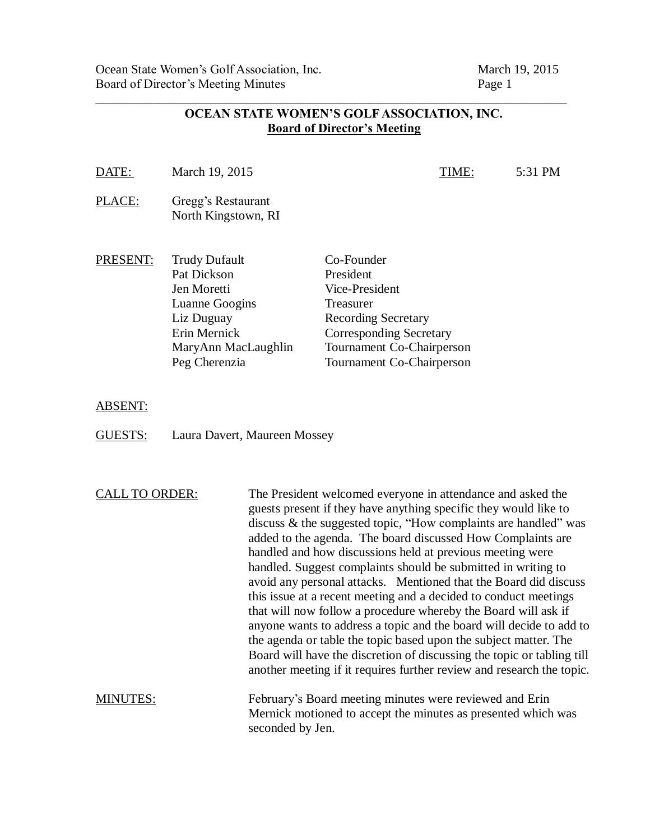Ocean State Women's Golf Association, Inc. March 19, 2015 Board of Director's Meeting Minutes Page 1

| DATE:    | March 19, 2015                                                                                                            | TIME:                                                                                                                                               | 5:31 PM |
|----------|---------------------------------------------------------------------------------------------------------------------------|-----------------------------------------------------------------------------------------------------------------------------------------------------|---------|
| PLACE:   | Gregg's Restaurant<br>North Kingstown, RI                                                                                 |                                                                                                                                                     |         |
| PRESENT: | <b>Trudy Dufault</b><br>Pat Dickson<br>Jen Moretti<br>Luanne Googins<br>Liz Duguay<br>Erin Mernick<br>MaryAnn MacLaughlin | Co-Founder<br>President<br>Vice-President<br>Treasurer<br><b>Recording Secretary</b><br><b>Corresponding Secretary</b><br>Tournament Co-Chairperson |         |
|          | Peg Cherenzia                                                                                                             | <b>Tournament Co-Chairperson</b>                                                                                                                    |         |

## **OCEAN STATE WOMEN'S GOLF ASSOCIATION, INC. Board of Director's Meeting**

\_\_\_\_\_\_\_\_\_\_\_\_\_\_\_\_\_\_\_\_\_\_\_\_\_\_\_\_\_\_\_\_\_\_\_\_\_\_\_\_\_\_\_\_\_\_\_\_\_\_\_\_\_\_\_\_\_\_\_\_\_\_\_\_\_\_\_\_\_\_\_\_\_\_

ABSENT:

GUESTS: Laura Davert, Maureen Mossey

CALL TO ORDER: The President welcomed everyone in attendance and asked the guests present if they have anything specific they would like to discuss & the suggested topic, "How complaints are handled" was added to the agenda. The board discussed How Complaints are handled and how discussions held at previous meeting were handled. Suggest complaints should be submitted in writing to avoid any personal attacks. Mentioned that the Board did discuss this issue at a recent meeting and a decided to conduct meetings that will now follow a procedure whereby the Board will ask if anyone wants to address a topic and the board will decide to add to the agenda or table the topic based upon the subject matter. The Board will have the discretion of discussing the topic or tabling till another meeting if it requires further review and research the topic.

MINUTES: February's Board meeting minutes were reviewed and Erin Mernick motioned to accept the minutes as presented which was seconded by Jen.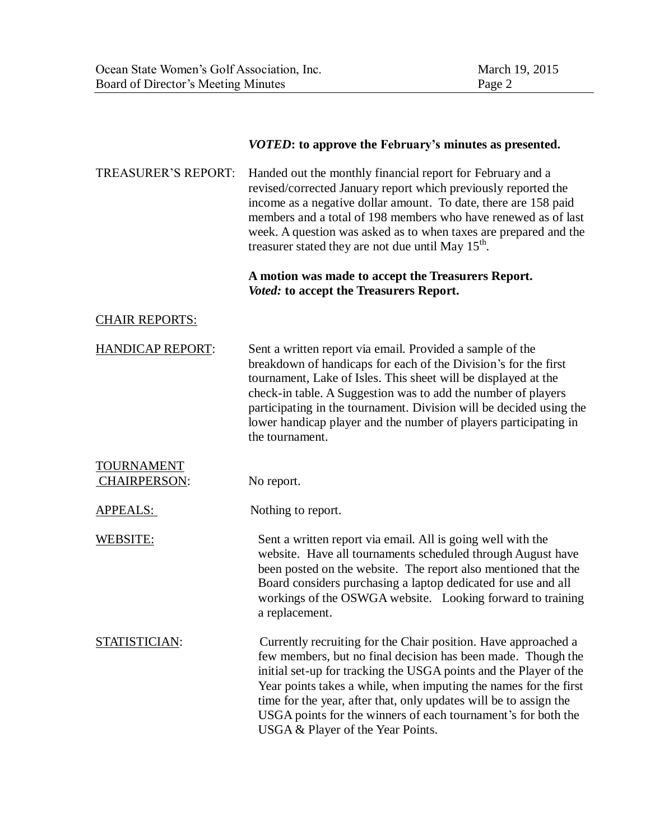|                                          | <i>VOTED</i> : to approve the February's minutes as presented.                                                                                                                                                                                                                                                                                                                                                                                     |
|------------------------------------------|----------------------------------------------------------------------------------------------------------------------------------------------------------------------------------------------------------------------------------------------------------------------------------------------------------------------------------------------------------------------------------------------------------------------------------------------------|
| <b>TREASURER'S REPORT:</b>               | Handed out the monthly financial report for February and a<br>revised/corrected January report which previously reported the<br>income as a negative dollar amount. To date, there are 158 paid<br>members and a total of 198 members who have renewed as of last<br>week. A question was asked as to when taxes are prepared and the<br>treasurer stated they are not due until May 15 <sup>th</sup> .                                            |
|                                          | A motion was made to accept the Treasurers Report.<br>Voted: to accept the Treasurers Report.                                                                                                                                                                                                                                                                                                                                                      |
| <b>CHAIR REPORTS:</b>                    |                                                                                                                                                                                                                                                                                                                                                                                                                                                    |
| <b>HANDICAP REPORT:</b>                  | Sent a written report via email. Provided a sample of the<br>breakdown of handicaps for each of the Division's for the first<br>tournament, Lake of Isles. This sheet will be displayed at the<br>check-in table. A Suggestion was to add the number of players<br>participating in the tournament. Division will be decided using the<br>lower handicap player and the number of players participating in<br>the tournament.                      |
| <b>TOURNAMENT</b><br><b>CHAIRPERSON:</b> | No report.                                                                                                                                                                                                                                                                                                                                                                                                                                         |
| APPEALS:                                 | Nothing to report.                                                                                                                                                                                                                                                                                                                                                                                                                                 |
| <b>WEBSITE:</b>                          | Sent a written report via email. All is going well with the<br>website. Have all tournaments scheduled through August have<br>been posted on the website. The report also mentioned that the<br>Board considers purchasing a laptop dedicated for use and all<br>workings of the OSWGA website. Looking forward to training<br>a replacement.                                                                                                      |
| STATISTICIAN:                            | Currently recruiting for the Chair position. Have approached a<br>few members, but no final decision has been made. Though the<br>initial set-up for tracking the USGA points and the Player of the<br>Year points takes a while, when imputing the names for the first<br>time for the year, after that, only updates will be to assign the<br>USGA points for the winners of each tournament's for both the<br>USGA & Player of the Year Points. |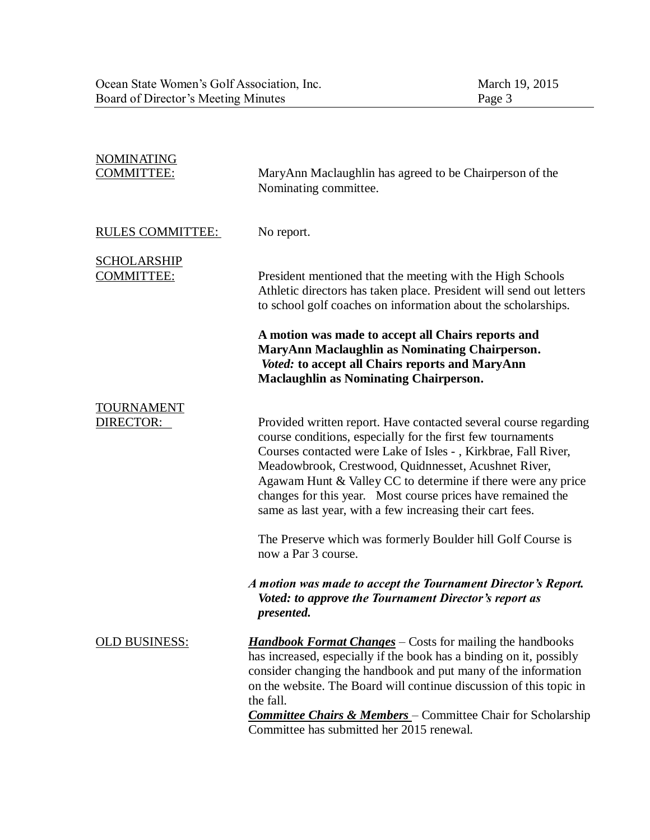| <b>NOMINATING</b><br><b>COMMITTEE:</b>  | MaryAnn Maclaughlin has agreed to be Chairperson of the<br>Nominating committee.                                                                                                                                                                                                                                                                                                                                                                      |
|-----------------------------------------|-------------------------------------------------------------------------------------------------------------------------------------------------------------------------------------------------------------------------------------------------------------------------------------------------------------------------------------------------------------------------------------------------------------------------------------------------------|
| <b>RULES COMMITTEE:</b>                 | No report.                                                                                                                                                                                                                                                                                                                                                                                                                                            |
| <b>SCHOLARSHIP</b><br><b>COMMITTEE:</b> | President mentioned that the meeting with the High Schools<br>Athletic directors has taken place. President will send out letters<br>to school golf coaches on information about the scholarships.                                                                                                                                                                                                                                                    |
|                                         | A motion was made to accept all Chairs reports and<br>MaryAnn Maclaughlin as Nominating Chairperson.<br>Voted: to accept all Chairs reports and MaryAnn<br><b>Maclaughlin as Nominating Chairperson.</b>                                                                                                                                                                                                                                              |
| <b>TOURNAMENT</b><br>DIRECTOR:          | Provided written report. Have contacted several course regarding<br>course conditions, especially for the first few tournaments<br>Courses contacted were Lake of Isles - , Kirkbrae, Fall River,<br>Meadowbrook, Crestwood, Quidnnesset, Acushnet River,<br>Agawam Hunt & Valley CC to determine if there were any price<br>changes for this year. Most course prices have remained the<br>same as last year, with a few increasing their cart fees. |
|                                         | The Preserve which was formerly Boulder hill Golf Course is<br>now a Par 3 course.                                                                                                                                                                                                                                                                                                                                                                    |
|                                         | A motion was made to accept the Tournament Director's Report.<br>Voted: to approve the Tournament Director's report as<br>presented.                                                                                                                                                                                                                                                                                                                  |
| <b>OLD BUSINESS:</b>                    | <b>Handbook Format Changes</b> - Costs for mailing the handbooks<br>has increased, especially if the book has a binding on it, possibly<br>consider changing the handbook and put many of the information<br>on the website. The Board will continue discussion of this topic in<br>the fall.<br><b>Committee Chairs &amp; Members</b> - Committee Chair for Scholarship<br>Committee has submitted her 2015 renewal.                                 |